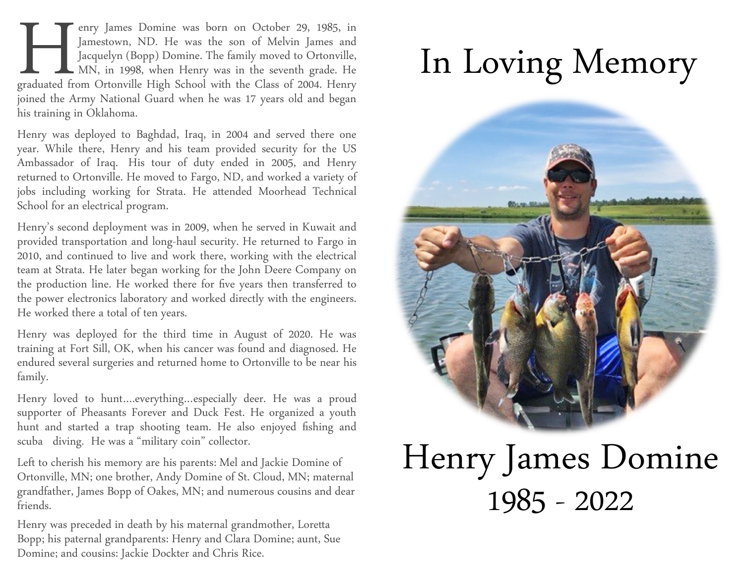graduated from enry James Domine was born on October 29, 1985, in Jamestown, ND. He was the son of Melvin James and **Jacquelyn (Bopp) Domine. The family moved to Ortonville,** MN, in 1998, when Henry was in the seventh grade. He graduated from Ortonville High School with the Class of 2004. Henry joined the Army National Guard when he was 17 years old and began his training in Oklahoma.

Henry was deployed to Baghdad, Iraq, in 2004 and served there one year. While there, Henry and his team provided security for the US Ambassador of Iraq. His tour of duty ended in 2005, and Henry returned to Ortonville. He moved to Fargo, ND, and worked a variety of jobs including working for Strata. He attended Moorhead Technical School for an electrical program.

Henry's second deployment was in 2009, when he served in Kuwait and provided transportation and long-haul security. He returned to Fargo in 2010, and continued to live and work there, working with the electrical team at Strata. He later began working for the John Deere Company on the production line. He worked there for five years then transferred to the power electronics laboratory and worked directly with the engineers. He worked there a total of ten years.

Henry was deployed for the third time in August of 2020. He was training at Fort Sill, OK, when his cancer was found and diagnosed. He endured several surgeries and returned home to Ortonville to be near his family.

Henry loved to hunt….everything…especially deer. He was a proud supporter of Pheasants Forever and Duck Fest. He organized a youth hunt and started a trap shooting team. He also enjoyed fishing and scuba diving. He was a "military coin" collector.

Left to cherish his memory are his parents: Mel and Jackie Domine of Ortonville, MN; one brother, Andy Domine of St. Cloud, MN; maternal grandfather, James Bopp of Oakes, MN; and numerous cousins and dear friends.

Henry was preceded in death by his maternal grandmother, Loretta Bopp; his paternal grandparents: Henry and Clara Domine; aunt, Sue Domine; and cousins: Jackie Dockter and Chris Rice.

### In Loving Memory



### Henry James Domine 1985 - 2022